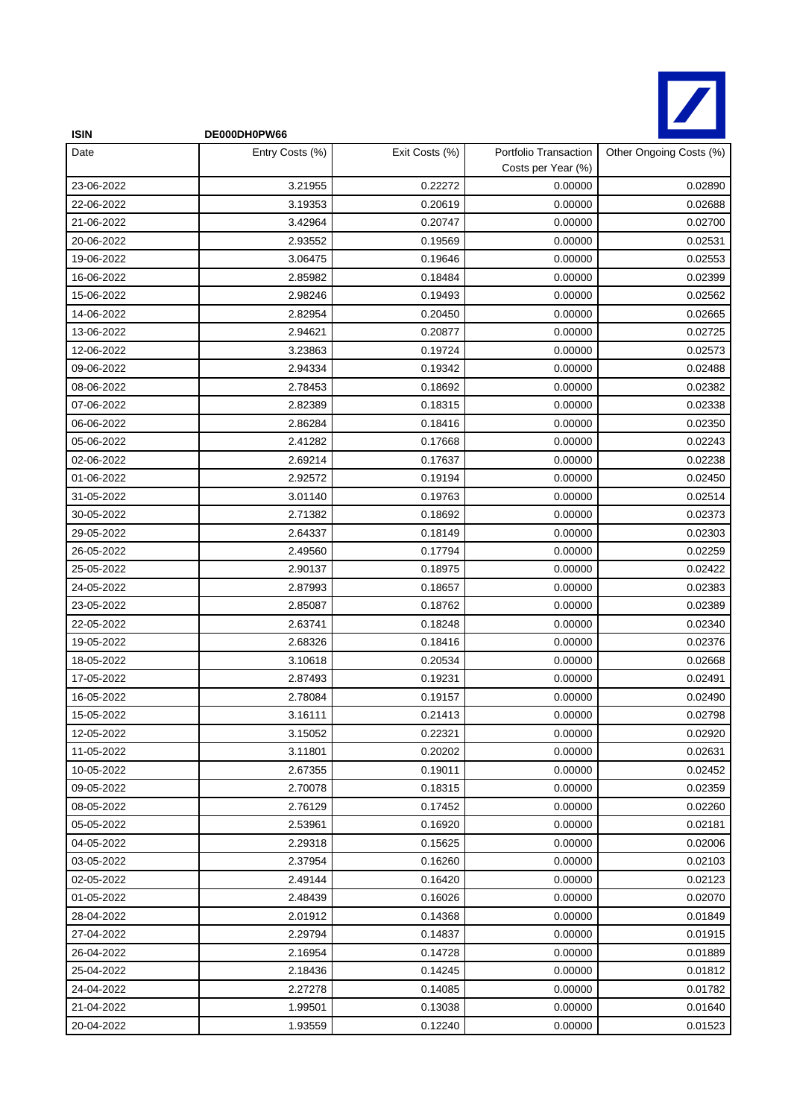

| <b>ISIN</b> | DE000DH0PW66    |                |                                             |                         |
|-------------|-----------------|----------------|---------------------------------------------|-------------------------|
| Date        | Entry Costs (%) | Exit Costs (%) | Portfolio Transaction<br>Costs per Year (%) | Other Ongoing Costs (%) |
| 23-06-2022  | 3.21955         | 0.22272        | 0.00000                                     | 0.02890                 |
| 22-06-2022  | 3.19353         | 0.20619        | 0.00000                                     | 0.02688                 |
| 21-06-2022  | 3.42964         | 0.20747        | 0.00000                                     | 0.02700                 |
| 20-06-2022  | 2.93552         | 0.19569        | 0.00000                                     | 0.02531                 |
| 19-06-2022  | 3.06475         | 0.19646        | 0.00000                                     | 0.02553                 |
| 16-06-2022  | 2.85982         | 0.18484        | 0.00000                                     | 0.02399                 |
| 15-06-2022  | 2.98246         | 0.19493        | 0.00000                                     | 0.02562                 |
| 14-06-2022  | 2.82954         | 0.20450        | 0.00000                                     | 0.02665                 |
| 13-06-2022  | 2.94621         | 0.20877        | 0.00000                                     | 0.02725                 |
| 12-06-2022  | 3.23863         | 0.19724        | 0.00000                                     | 0.02573                 |
| 09-06-2022  | 2.94334         | 0.19342        | 0.00000                                     | 0.02488                 |
| 08-06-2022  | 2.78453         | 0.18692        | 0.00000                                     | 0.02382                 |
| 07-06-2022  | 2.82389         | 0.18315        | 0.00000                                     | 0.02338                 |
| 06-06-2022  | 2.86284         | 0.18416        | 0.00000                                     | 0.02350                 |
| 05-06-2022  | 2.41282         | 0.17668        | 0.00000                                     | 0.02243                 |
| 02-06-2022  | 2.69214         | 0.17637        | 0.00000                                     | 0.02238                 |
| 01-06-2022  | 2.92572         | 0.19194        | 0.00000                                     | 0.02450                 |
| 31-05-2022  | 3.01140         | 0.19763        | 0.00000                                     | 0.02514                 |
| 30-05-2022  | 2.71382         | 0.18692        | 0.00000                                     | 0.02373                 |
| 29-05-2022  | 2.64337         | 0.18149        | 0.00000                                     | 0.02303                 |
| 26-05-2022  | 2.49560         | 0.17794        | 0.00000                                     | 0.02259                 |
| 25-05-2022  | 2.90137         | 0.18975        | 0.00000                                     | 0.02422                 |
| 24-05-2022  | 2.87993         | 0.18657        | 0.00000                                     | 0.02383                 |
| 23-05-2022  | 2.85087         | 0.18762        | 0.00000                                     | 0.02389                 |
| 22-05-2022  | 2.63741         | 0.18248        | 0.00000                                     | 0.02340                 |
| 19-05-2022  | 2.68326         | 0.18416        | 0.00000                                     | 0.02376                 |
| 18-05-2022  | 3.10618         | 0.20534        | 0.00000                                     | 0.02668                 |
| 17-05-2022  | 2.87493         | 0.19231        | 0.00000                                     | 0.02491                 |
| 16-05-2022  | 2.78084         | 0.19157        | 0.00000                                     | 0.02490                 |
| 15-05-2022  | 3.16111         | 0.21413        | 0.00000                                     | 0.02798                 |
| 12-05-2022  | 3.15052         | 0.22321        | 0.00000                                     | 0.02920                 |
| 11-05-2022  | 3.11801         | 0.20202        | 0.00000                                     | 0.02631                 |
| 10-05-2022  | 2.67355         | 0.19011        | 0.00000                                     | 0.02452                 |
| 09-05-2022  | 2.70078         | 0.18315        | 0.00000                                     | 0.02359                 |
| 08-05-2022  | 2.76129         | 0.17452        | 0.00000                                     | 0.02260                 |
| 05-05-2022  | 2.53961         | 0.16920        | 0.00000                                     | 0.02181                 |
| 04-05-2022  | 2.29318         | 0.15625        | 0.00000                                     | 0.02006                 |
| 03-05-2022  | 2.37954         | 0.16260        | 0.00000                                     | 0.02103                 |
| 02-05-2022  | 2.49144         | 0.16420        | 0.00000                                     | 0.02123                 |
| 01-05-2022  | 2.48439         | 0.16026        | 0.00000                                     | 0.02070                 |
| 28-04-2022  | 2.01912         | 0.14368        | 0.00000                                     | 0.01849                 |
| 27-04-2022  | 2.29794         | 0.14837        | 0.00000                                     | 0.01915                 |
| 26-04-2022  | 2.16954         | 0.14728        | 0.00000                                     | 0.01889                 |
| 25-04-2022  | 2.18436         | 0.14245        | 0.00000                                     | 0.01812                 |
| 24-04-2022  | 2.27278         | 0.14085        | 0.00000                                     | 0.01782                 |
| 21-04-2022  | 1.99501         | 0.13038        | 0.00000                                     | 0.01640                 |
| 20-04-2022  | 1.93559         | 0.12240        | 0.00000                                     | 0.01523                 |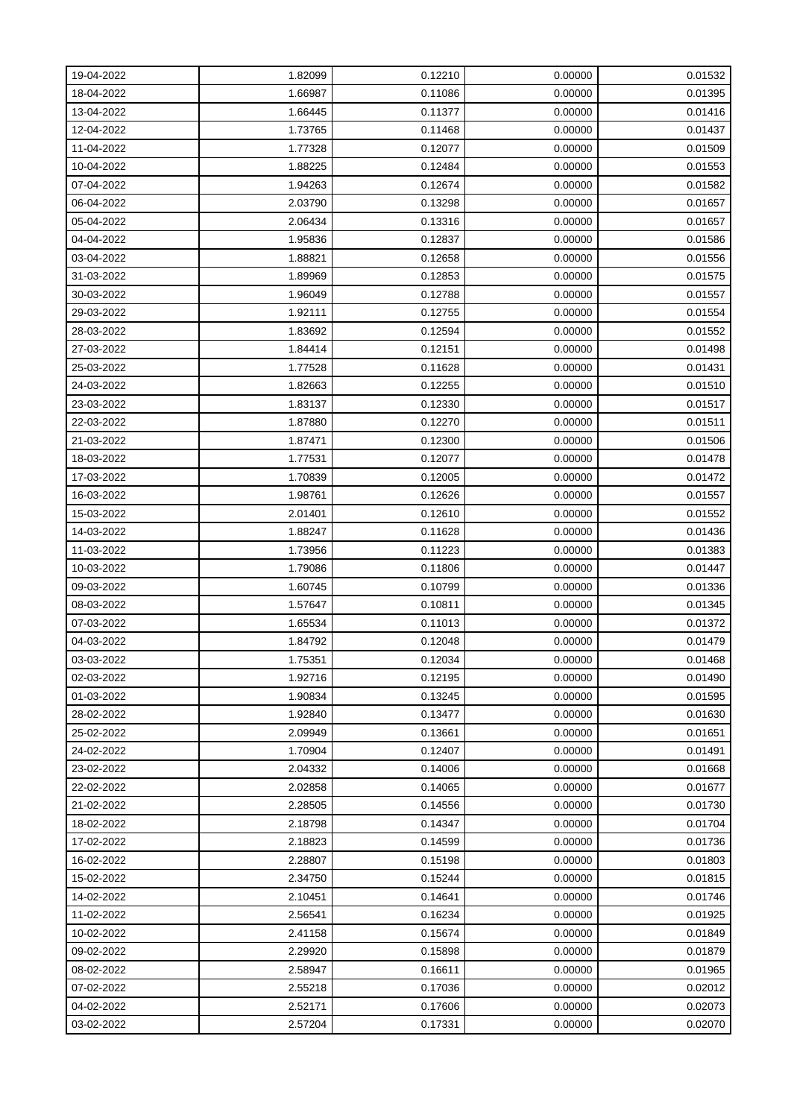| 19-04-2022 | 1.82099 | 0.12210 | 0.00000 | 0.01532 |
|------------|---------|---------|---------|---------|
| 18-04-2022 | 1.66987 | 0.11086 | 0.00000 | 0.01395 |
| 13-04-2022 | 1.66445 | 0.11377 | 0.00000 | 0.01416 |
| 12-04-2022 | 1.73765 | 0.11468 | 0.00000 | 0.01437 |
| 11-04-2022 | 1.77328 | 0.12077 | 0.00000 | 0.01509 |
| 10-04-2022 | 1.88225 | 0.12484 | 0.00000 | 0.01553 |
| 07-04-2022 | 1.94263 | 0.12674 | 0.00000 | 0.01582 |
| 06-04-2022 | 2.03790 | 0.13298 | 0.00000 | 0.01657 |
| 05-04-2022 | 2.06434 | 0.13316 | 0.00000 | 0.01657 |
| 04-04-2022 | 1.95836 | 0.12837 | 0.00000 | 0.01586 |
| 03-04-2022 | 1.88821 | 0.12658 | 0.00000 | 0.01556 |
| 31-03-2022 | 1.89969 | 0.12853 | 0.00000 | 0.01575 |
| 30-03-2022 | 1.96049 | 0.12788 | 0.00000 | 0.01557 |
| 29-03-2022 | 1.92111 | 0.12755 | 0.00000 | 0.01554 |
| 28-03-2022 | 1.83692 | 0.12594 | 0.00000 | 0.01552 |
| 27-03-2022 | 1.84414 | 0.12151 | 0.00000 | 0.01498 |
| 25-03-2022 | 1.77528 | 0.11628 | 0.00000 | 0.01431 |
| 24-03-2022 | 1.82663 | 0.12255 | 0.00000 | 0.01510 |
| 23-03-2022 | 1.83137 | 0.12330 | 0.00000 | 0.01517 |
| 22-03-2022 | 1.87880 | 0.12270 | 0.00000 | 0.01511 |
| 21-03-2022 | 1.87471 | 0.12300 | 0.00000 | 0.01506 |
| 18-03-2022 | 1.77531 | 0.12077 | 0.00000 | 0.01478 |
| 17-03-2022 | 1.70839 | 0.12005 | 0.00000 | 0.01472 |
| 16-03-2022 | 1.98761 | 0.12626 | 0.00000 | 0.01557 |
| 15-03-2022 | 2.01401 | 0.12610 | 0.00000 | 0.01552 |
| 14-03-2022 | 1.88247 | 0.11628 | 0.00000 | 0.01436 |
| 11-03-2022 | 1.73956 | 0.11223 | 0.00000 | 0.01383 |
| 10-03-2022 | 1.79086 | 0.11806 | 0.00000 | 0.01447 |
| 09-03-2022 | 1.60745 | 0.10799 | 0.00000 | 0.01336 |
| 08-03-2022 | 1.57647 | 0.10811 | 0.00000 | 0.01345 |
| 07-03-2022 | 1.65534 | 0.11013 | 0.00000 | 0.01372 |
| 04-03-2022 | 1.84792 | 0.12048 | 0.00000 | 0.01479 |
| 03-03-2022 | 1.75351 | 0.12034 | 0.00000 | 0.01468 |
| 02-03-2022 | 1.92716 | 0.12195 | 0.00000 | 0.01490 |
| 01-03-2022 | 1.90834 | 0.13245 | 0.00000 | 0.01595 |
| 28-02-2022 | 1.92840 | 0.13477 | 0.00000 | 0.01630 |
| 25-02-2022 | 2.09949 | 0.13661 | 0.00000 | 0.01651 |
| 24-02-2022 | 1.70904 | 0.12407 | 0.00000 | 0.01491 |
| 23-02-2022 | 2.04332 | 0.14006 | 0.00000 | 0.01668 |
| 22-02-2022 | 2.02858 | 0.14065 | 0.00000 | 0.01677 |
| 21-02-2022 | 2.28505 | 0.14556 | 0.00000 | 0.01730 |
| 18-02-2022 | 2.18798 | 0.14347 | 0.00000 | 0.01704 |
| 17-02-2022 | 2.18823 | 0.14599 | 0.00000 | 0.01736 |
| 16-02-2022 | 2.28807 | 0.15198 | 0.00000 | 0.01803 |
| 15-02-2022 | 2.34750 | 0.15244 | 0.00000 | 0.01815 |
| 14-02-2022 | 2.10451 | 0.14641 | 0.00000 | 0.01746 |
| 11-02-2022 | 2.56541 | 0.16234 | 0.00000 | 0.01925 |
| 10-02-2022 | 2.41158 | 0.15674 | 0.00000 | 0.01849 |
| 09-02-2022 | 2.29920 | 0.15898 | 0.00000 | 0.01879 |
| 08-02-2022 | 2.58947 | 0.16611 | 0.00000 | 0.01965 |
| 07-02-2022 | 2.55218 | 0.17036 | 0.00000 | 0.02012 |
| 04-02-2022 | 2.52171 | 0.17606 | 0.00000 | 0.02073 |
| 03-02-2022 | 2.57204 | 0.17331 | 0.00000 | 0.02070 |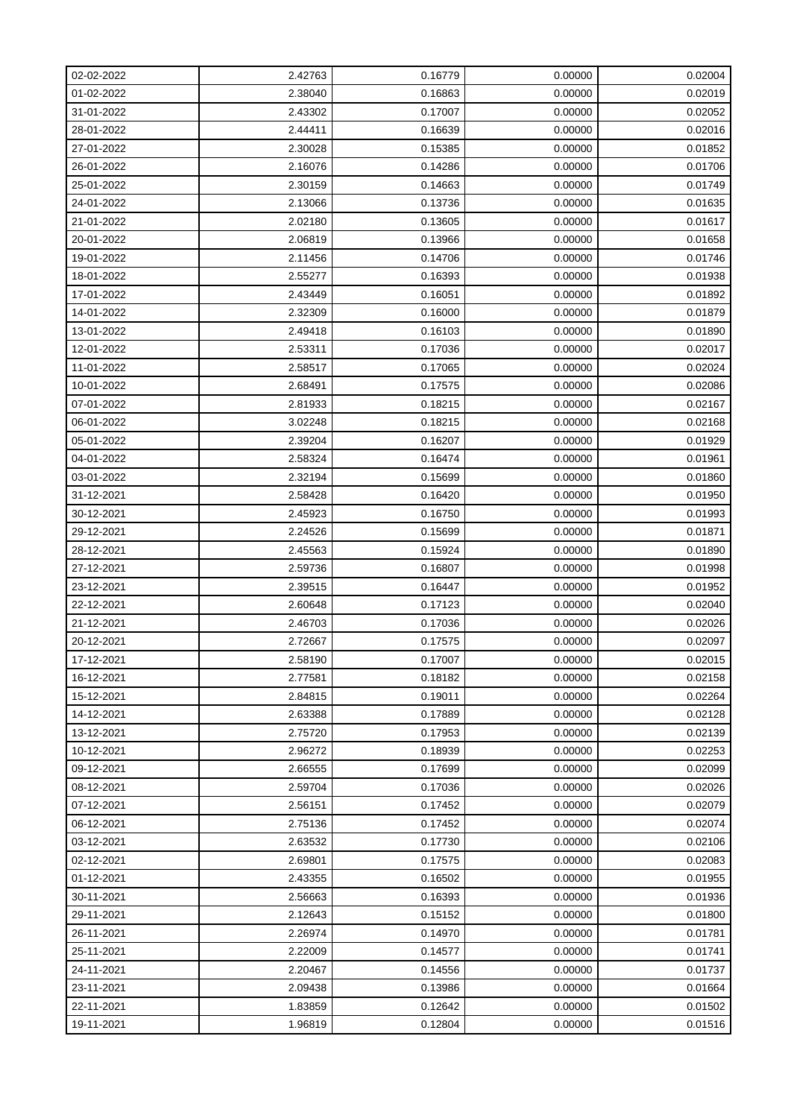| 02-02-2022 | 2.42763 | 0.16779 | 0.00000 | 0.02004 |
|------------|---------|---------|---------|---------|
| 01-02-2022 | 2.38040 | 0.16863 | 0.00000 | 0.02019 |
| 31-01-2022 | 2.43302 | 0.17007 | 0.00000 | 0.02052 |
| 28-01-2022 | 2.44411 | 0.16639 | 0.00000 | 0.02016 |
| 27-01-2022 | 2.30028 | 0.15385 | 0.00000 | 0.01852 |
| 26-01-2022 | 2.16076 | 0.14286 | 0.00000 | 0.01706 |
| 25-01-2022 | 2.30159 | 0.14663 | 0.00000 | 0.01749 |
| 24-01-2022 | 2.13066 | 0.13736 | 0.00000 | 0.01635 |
| 21-01-2022 | 2.02180 | 0.13605 | 0.00000 | 0.01617 |
| 20-01-2022 | 2.06819 | 0.13966 | 0.00000 | 0.01658 |
| 19-01-2022 | 2.11456 | 0.14706 | 0.00000 | 0.01746 |
| 18-01-2022 | 2.55277 | 0.16393 | 0.00000 | 0.01938 |
| 17-01-2022 | 2.43449 | 0.16051 | 0.00000 | 0.01892 |
| 14-01-2022 | 2.32309 | 0.16000 | 0.00000 | 0.01879 |
| 13-01-2022 | 2.49418 | 0.16103 | 0.00000 | 0.01890 |
| 12-01-2022 | 2.53311 | 0.17036 | 0.00000 | 0.02017 |
| 11-01-2022 | 2.58517 | 0.17065 | 0.00000 | 0.02024 |
| 10-01-2022 | 2.68491 | 0.17575 | 0.00000 | 0.02086 |
| 07-01-2022 | 2.81933 | 0.18215 | 0.00000 | 0.02167 |
| 06-01-2022 | 3.02248 | 0.18215 | 0.00000 | 0.02168 |
| 05-01-2022 | 2.39204 | 0.16207 | 0.00000 | 0.01929 |
| 04-01-2022 | 2.58324 | 0.16474 | 0.00000 | 0.01961 |
| 03-01-2022 | 2.32194 | 0.15699 | 0.00000 | 0.01860 |
| 31-12-2021 | 2.58428 | 0.16420 | 0.00000 | 0.01950 |
| 30-12-2021 | 2.45923 | 0.16750 | 0.00000 | 0.01993 |
| 29-12-2021 | 2.24526 | 0.15699 | 0.00000 | 0.01871 |
| 28-12-2021 | 2.45563 | 0.15924 | 0.00000 | 0.01890 |
| 27-12-2021 | 2.59736 | 0.16807 | 0.00000 | 0.01998 |
| 23-12-2021 | 2.39515 | 0.16447 | 0.00000 | 0.01952 |
| 22-12-2021 | 2.60648 | 0.17123 | 0.00000 | 0.02040 |
| 21-12-2021 | 2.46703 | 0.17036 | 0.00000 | 0.02026 |
| 20-12-2021 | 2.72667 | 0.17575 | 0.00000 | 0.02097 |
| 17-12-2021 | 2.58190 | 0.17007 | 0.00000 | 0.02015 |
| 16-12-2021 | 2.77581 | 0.18182 | 0.00000 | 0.02158 |
| 15-12-2021 | 2.84815 | 0.19011 | 0.00000 | 0.02264 |
| 14-12-2021 | 2.63388 | 0.17889 | 0.00000 | 0.02128 |
| 13-12-2021 | 2.75720 | 0.17953 | 0.00000 | 0.02139 |
| 10-12-2021 | 2.96272 | 0.18939 | 0.00000 | 0.02253 |
| 09-12-2021 | 2.66555 | 0.17699 | 0.00000 | 0.02099 |
| 08-12-2021 | 2.59704 | 0.17036 | 0.00000 | 0.02026 |
| 07-12-2021 | 2.56151 | 0.17452 | 0.00000 | 0.02079 |
| 06-12-2021 | 2.75136 | 0.17452 | 0.00000 | 0.02074 |
| 03-12-2021 | 2.63532 | 0.17730 | 0.00000 | 0.02106 |
| 02-12-2021 | 2.69801 | 0.17575 | 0.00000 | 0.02083 |
| 01-12-2021 | 2.43355 | 0.16502 | 0.00000 | 0.01955 |
| 30-11-2021 | 2.56663 | 0.16393 | 0.00000 | 0.01936 |
| 29-11-2021 | 2.12643 | 0.15152 | 0.00000 | 0.01800 |
| 26-11-2021 | 2.26974 | 0.14970 | 0.00000 | 0.01781 |
| 25-11-2021 | 2.22009 | 0.14577 | 0.00000 | 0.01741 |
| 24-11-2021 | 2.20467 | 0.14556 | 0.00000 | 0.01737 |
| 23-11-2021 | 2.09438 | 0.13986 | 0.00000 | 0.01664 |
| 22-11-2021 | 1.83859 | 0.12642 | 0.00000 | 0.01502 |
| 19-11-2021 | 1.96819 | 0.12804 | 0.00000 | 0.01516 |